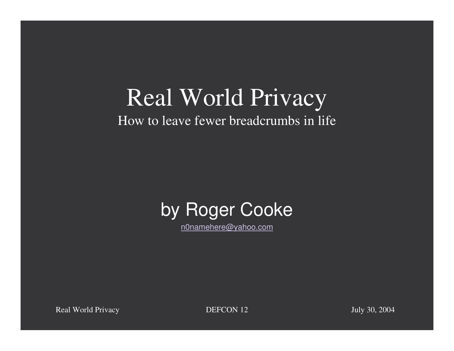#### Real World Privacy How to leave fewer breadcrumbs in life



n0namehere@yahoo.com

Real World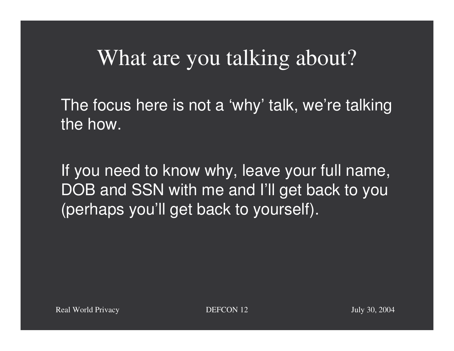#### What are you talking about?

The focus here is not <sup>a</sup> 'why' talk, we're talking the how.

If you need to know why, leave your full name, DOB and SSN with me and I'll get back to you (perhaps you'll get back to yourself).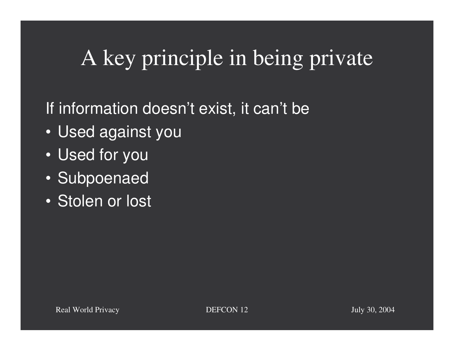## A key principle in being private

#### If information doesn't exist, it can't be

- Used against you
- Used for you
- Subpoenaed
- Stolen or lost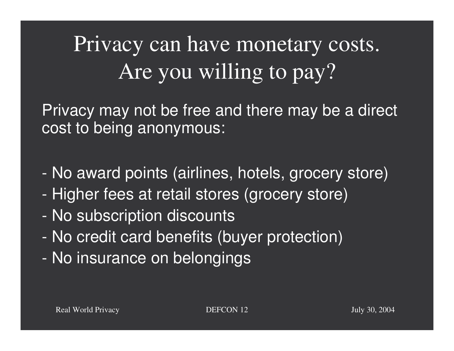# Privacy can have monetary costs. Are you willing to pay?

Privacy may not be free and there may be <sup>a</sup> direct cost to being anonymous:

- -No award points (airlines, hotels, grocery store)
- -- Higher fees at retail stores (grocery store)
- -No subscription discounts
- -No credit card benefits (buyer protection)
- -- No insurance on belongings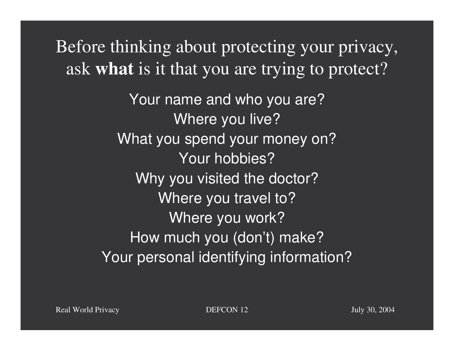Before thinking about protecting your privacy, ask **what** is it that you are trying to protect?

> Your name and who you are? Where you live? What you spend your money on? Your hobbies? Why you visited the doctor? Where you travel to? Where you work? How much you (don't) make? Your personal identifying information?

Real World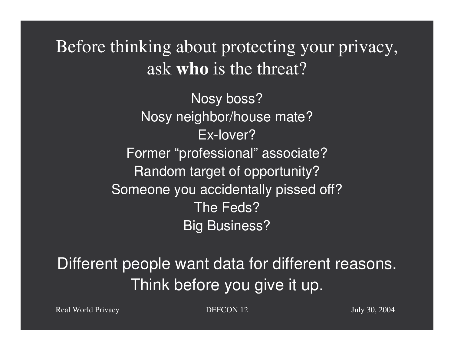Before thinking about protecting your privacy, ask **who** is the threat?

> Nosy boss? Nosy neighbor/house mate? Ex-lover?Former "professional" associate? Random target of opportunity? Someone you accidentally pissed off? The Feds? Big Business?

Different people want data for different reasons. Think before you give it up.

Real World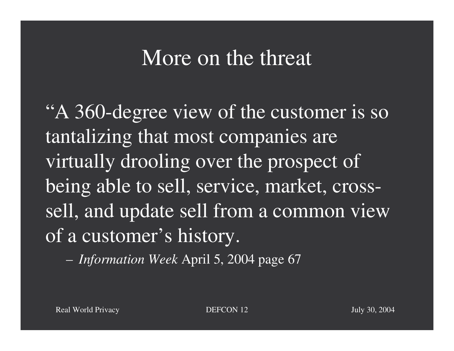#### More on the threat

"A 360-degree view of the customer is so tantalizing that most companies are virtually drooling over the prospec<sup>t</sup> of being able to sell, service, market, crosssell, and update sell from <sup>a</sup> common view of a customer's history.

*Information Week* April 5, 2004 page 67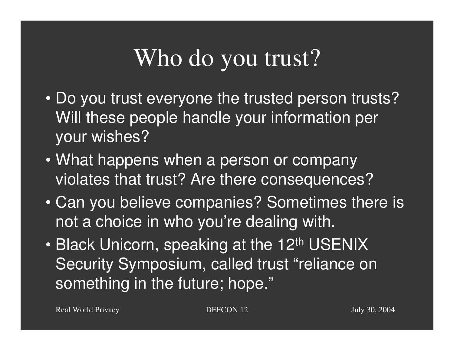# Who do you trust?

- Do you trust everyone the trusted person trusts? Will these people handle your information per your wishes?
- What happens when <sup>a</sup> person or company violates that trust? Are there consequences?
- Can you believe companies? Sometimes there is not <sup>a</sup> choice in who you're dealing with.
- $\mathbf C$ • Black Unicorn, speaking at the 12<sup>th</sup> USENIX Security Symposium, called trust "reliance on something in the future; hope."

Real World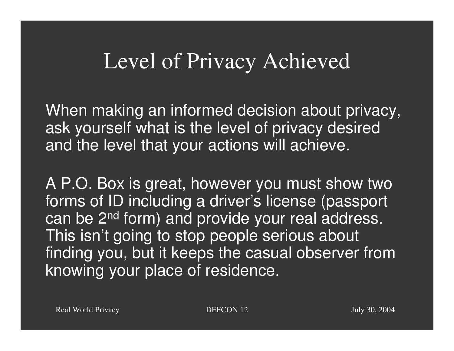#### Level of Privacy Achieved

When making an informed decision about privacy, ask yourself what is the level of privacy desired and the level that your actions will achieve.

A P.O. Box is great, however you must show two forms of ID including <sup>a</sup> driver's license (passport can be 2<sup>nd</sup> form) and provide your real address. This isn't going to stop people serious about finding you, but it keeps the casual observer from knowing your place of residence.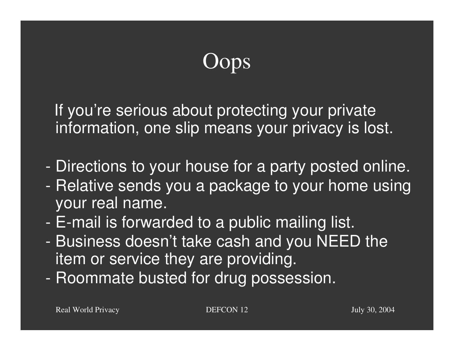## **Oops**

If you're serious about protecting your private information, one slip means your privacy is lost.

- -Directions to your house for <sup>a</sup> party posted online.
- -- Relative sends you a package to your home using your real name.
- -E-mail is forwarded to <sup>a</sup> public mailing list.
- - Business doesn't take cash and you NEED the item or service they are providing.
- -- Roommate busted for drug possession.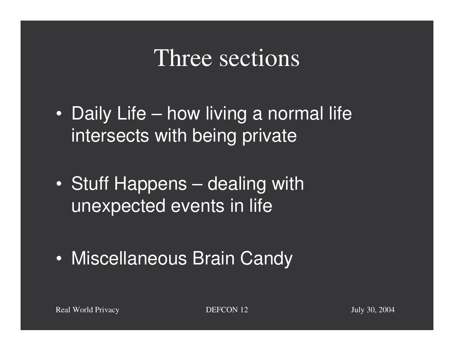#### Three sections

- $\bullet$ • Daily Life – how living a normal life intersects with being private
- $\bullet$ • Stuff Happens – dealing with unexpected events in life
- $\bullet$ Miscellaneous Brain Candy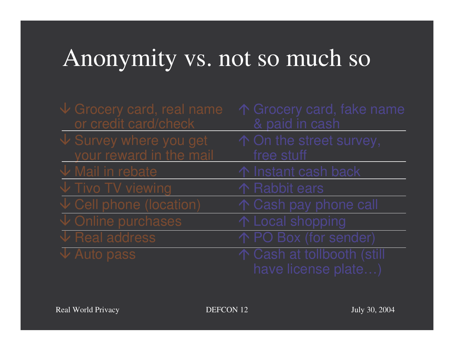## Anonymity vs. not so much so

| $\sqrt{2}$ Grocery card, real name<br>or credit card/check  | ↑ Grocery card, fake name<br>& paid in cash       |
|-------------------------------------------------------------|---------------------------------------------------|
| $\sqrt{\ }$ Survey where you get<br>your reward in the mail | ↑ On the street survey,<br>free stuff             |
| $\sqrt{}$ Mail in rebate                                    | ↑ Instant cash back                               |
| $\sqrt{}$ Tivo TV viewing                                   | 个 Rabbit ears                                     |
| $\sqrt{\ }$ Cell phone (location)                           | ↑ Cash pay phone call                             |
| $\overline{\downarrow}$ Online purchases                    | ↑ Local shopping                                  |
| $\sqrt{\ }$ Real address                                    | ↑ PO Box (for sender)                             |
| $\sqrt{\frac{1}{2}}$ Auto pass                              | ↑ Cash at tollbooth (still<br>have license plate) |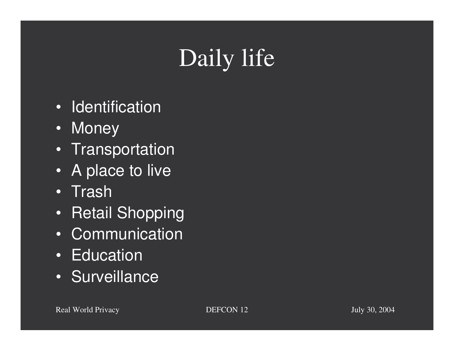# Daily life

- Identification
- Money
- Transportation
- A place to live
- Trash
- Retail Shopping
- Communication
- Education
- Surveillance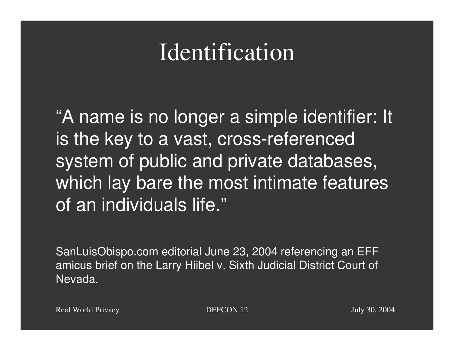## Identification

"A name is no longer <sup>a</sup> simple identifier: It is the key to <sup>a</sup> vast, cross-referenced system of public and private databases, which lay bare the most intimate features of an individuals life."

SanLuisObispo.com editorial June 23, 2004 referencing an EFF amicus brief on the Larry Hiibel v. Sixth Judicial District Court of Nevada.

Real World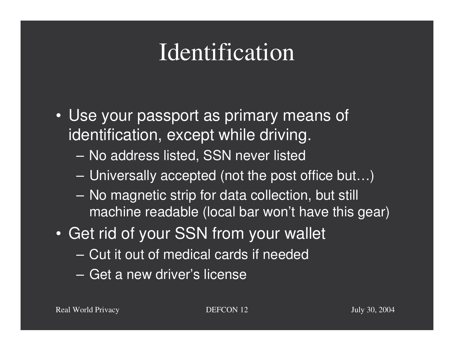## Identification

- Use your passport as primary means of identification, except while driving.
	- No address listed, SSN never listed
	- Universally accepted (not the post office but…)
	- No magnetic strip for data collection, but still machine readable (local bar won't have this gear)
- Get rid of your SSN from your wallet
	- Cut it out of medical cards if needed
	- Get a new driver's license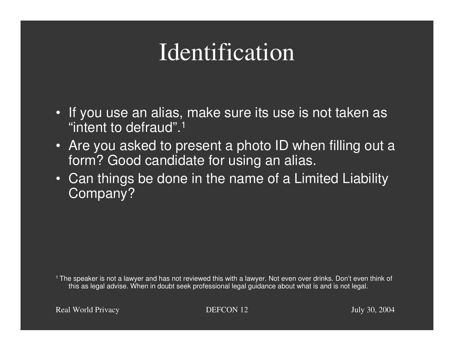## Identification

- If you use an alias, make sure its use is not taken as "intent to defraud".1
- Are you asked to present <sup>a</sup> photo ID when filling out <sup>a</sup> form? Good candidate for using an alias.
- Can things be done in the name of <sup>a</sup> Limited Liability Company?

<sup>1</sup> The speaker is not a lawyer and has not reviewed this with a lawyer. Not even over drinks. Don't even think of this as legal advise. When in doubt seek professional legal guidance about what is and is not legal.

Real World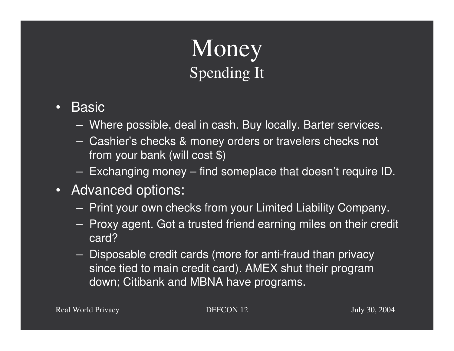### Money Spending It

- •**Basic** 
	- Where possible, deal in cash. Buy locally. Barter services.
	- Cashier's checks & money orders or travelers checks not from your bank (will cost \$)
	- Exchanging money find someplace that doesn't require ID.
- Advanced options:
	- $-$  Print your own checks from your Limited Liability Company.
	- Proxy agent. Got a trusted friend earning miles on their credit card?
	- Disposable credit cards (more for anti-fraud than privacy since tied to main credit card). AMEX shut their program down; Citibank and MBNA have programs.

Real World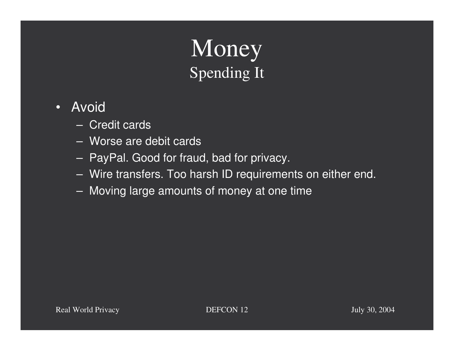#### Money Spending It

- • Avoid
	- Credit cards
	- Worse are debit cards
	- $-$  PayPal. Good for fraud, bad for privacy.
	- Wire transfers. Too harsh ID requirements on either end.
	- Moving large amounts of money at one time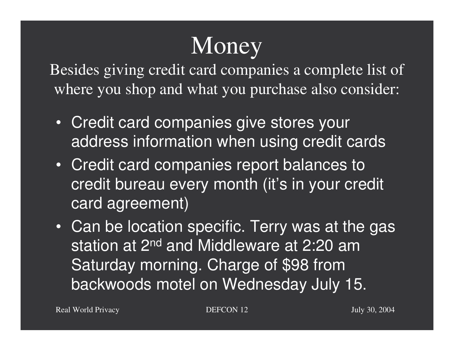# **Money**

Besides giving credit card companies <sup>a</sup> complete list of where you shop and what you purchase also consider:

- Credit card companies give stores your address information when using credit cards
- Credit card companies report balances to credit bureau every month (it's in your credit card agreement)
- Can be location specific. Terry was at the gas station at 2<sup>nd</sup> and Middleware at 2:20 am Saturday morning. Charge of \$98 from backwoods motel on Wednesday July 15.

Real World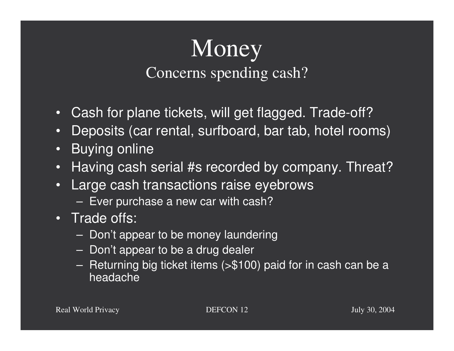#### **Money** Concerns spending cash?

- $\bullet$ Cash for plane tickets, will get flagged. Trade-off?
- •Deposits (car rental, surfboard, bar tab, hotel rooms)
- $\bullet$ Buying online
- •Having cash serial #s recorded by company. Threat?
- • Large cash transactions raise eyebrows
	- $-$  Ever purchase a new car with cash?
- Trade offs:
	- $\,$  Don't appear to be money laundering
	- $\,$  Don't appear to be a drug dealer
	- Returning big ticket items (>\$100) paid for in cash can be <sup>a</sup> headache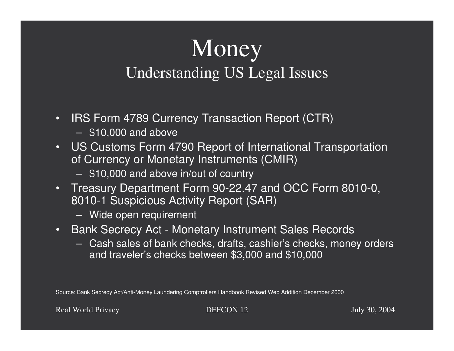### Money Understanding US Legal Issues

- •• IRS Form 4789 Currency Transaction Report (CTR)
	- \$10,000 and above
- • US Customs Form 4790 Report of International Transportation of Currency or Monetary Instruments (CMIR)
	- \$10,000 and above in/out of country
- • Treasury Department Form 90-22.47 and OCC Form 8010-0, 8010-1 Suspicious Activity Report (SAR)
	- Wide open requirement
- $\bullet$ • Bank Secrecy Act - Monetary Instrument Sales Records
	- Cash sales of bank checks, drafts, cashier's checks, money orders and traveler's checks between \$3,000 and \$10,000

Source: Bank Secrecy Act/Anti-Money Laundering Comptrollers Handbook Revised Web Addition December 2000

Real World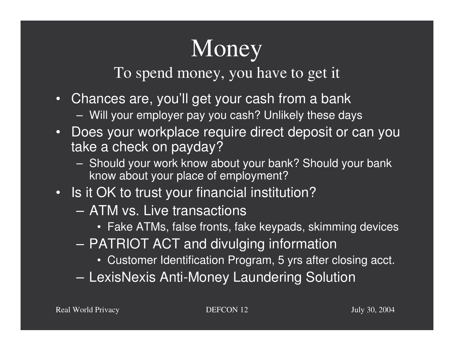# **Money**

To spend money, you have to ge<sup>t</sup> it

- Chances are, you'll get your cash from <sup>a</sup> bank
	- Will your employer pay you cash? Unlikely these days
- Does your workplace require direct deposit or can you take <sup>a</sup> check on payday?
	- Should your work know about your bank? Should your bank know about your place of employment?
- Is it OK to trust your financial institution?
	- ATM vs. Live transactions
		- Fake ATMs, false fronts, fake keypads, skimming devices
	- PATRIOT ACT and divulging information
		- Customer Identification Program, 5 yrs after closing acct.
	- LexisNexis Anti-Money Laundering Solution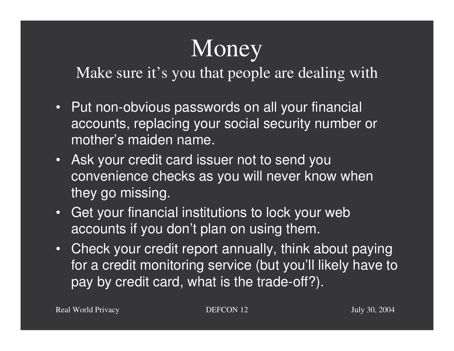# **Money**

Make sure it's you that people are dealing with

- Put non-obvious passwords on all your financial accounts, replacing your social security number or mother's maiden name.
- Ask your credit card issuer not to send you convenience checks as you will never know when they go missing.
- Get your financial institutions to lock your web accounts if you don't plan on using them.
- Check your credit report annually, think about paying for a credit monitoring service (but you'll likely have to pay by credit card, what is the trade-off?).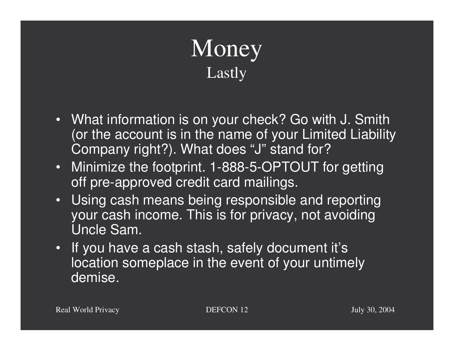## Money Lastly

- What information is on your check? Go with J. Smith (or the account is in the name of your Limited Liability Company right?). What does "J" stand for?
- Minimize the footprint. 1-888-5-OPTOUT for getting off pre-approved credit card mailings.
- Using cash means being responsible and reporting your cash income. This is for privacy, not avoiding Uncle Sam.
- If you have <sup>a</sup> cash stash, safely document it's location someplace in the event of your untimely demise.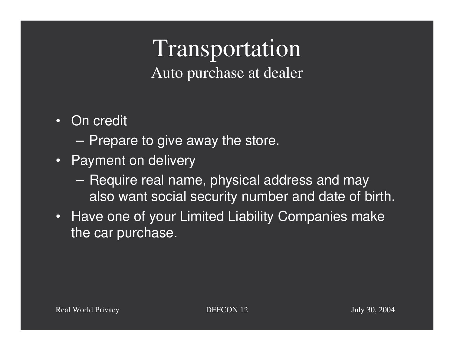#### Transportation Auto purchase at dealer

- On credit
	- $-$  Prepare to give away the store.
- Payment on delivery
	- Require real name, physical address and may also want social security number and date of birth.
- Have one of your Limited Liability Companies make the car purchase.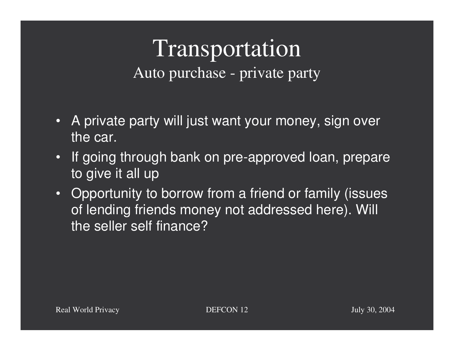#### Transportation Auto purchase - private party

- A private party will just want your money, sign over the car.
- If going through bank on pre-approved loan, prepare to give it all up
- Opportunity to borrow from <sup>a</sup> friend or family (issues of lending friends money not addressed here). Will the seller self finance?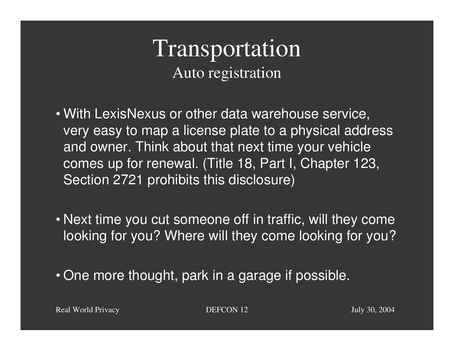#### Transportation Auto registration

- With LexisNexus or other data warehouse service, very easy to map <sup>a</sup> license plate to <sup>a</sup> physical address and owner. Think about that next time your vehicle comes up for renewal. (Title 18, Part I, Chapter 123, Section 2721 prohibits this disclosure)
- Next time you cut someone off in traffic, will they come looking for you? Where will they come looking for you?
- One more thought, park in <sup>a</sup> garage if possible.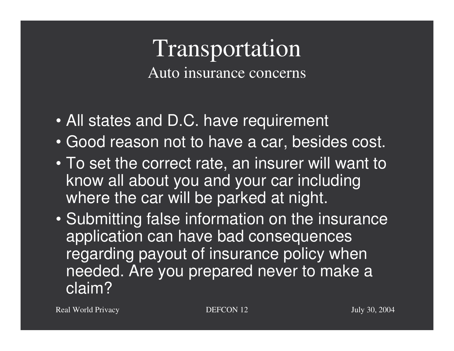#### Transportation Auto insurance concerns

- All states and D.C. have requirement
- Good reason not to have <sup>a</sup> car, besides cost.
- To set the correct rate, an insurer will want to know all about you and your car including where the car will be parked at night.
- Submitting false information on the insurance application can have bad consequences regarding payout of insurance policy when needed. Are you prepared never to make <sup>a</sup> claim?

Real World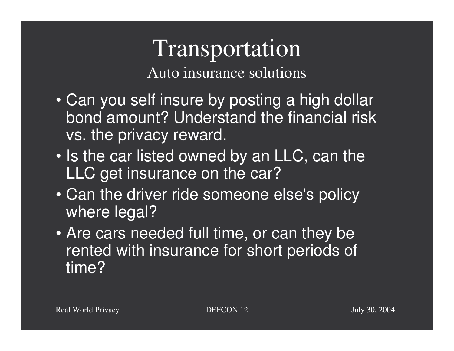#### Transportation Auto insurance solutions

- Can you self insure by posting <sup>a</sup> high dollar bond amount? Understand the financial risk vs. the privacy reward.
- Is the car listed owned by an LLC, can the LLC get insurance on the car?
- Can the driver ride someone else's policy where legal?
- Are cars needed full time, or can they be rented with insurance for short periods of time?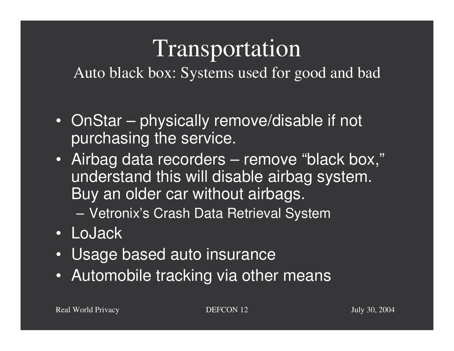# Transportation

Auto black box: Systems used for good and bad

- OnStar physically remove/disable if not purchasing the service.
- Airbag data recorders remove "black box," understand this will disable airbag system. Buy an older car without airbags.

Vetronix's Crash Data Retrieval System

- LoJack
- Usage based auto insurance
- Automobile tracking via other means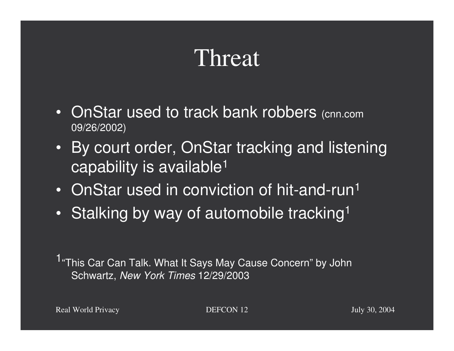## Threat

- OnStar used to track bank robbers (cnn.com 09/26/2002)
- By court order, OnStar tracking and listening capability is available1
- OnStar used in conviction of hit-and-run<sup>1</sup>
- $\bullet$ • Stalking by way of automobile tracking<sup>1</sup>

<sup>1</sup>"This Car Can Talk. What It Says May Cause Concern" by John Schwartz, *New York Times* 12/29/2003

Real World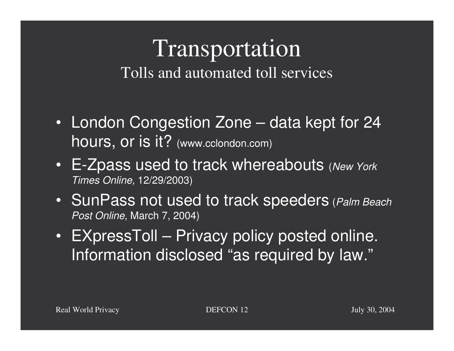#### Transportation Tolls and automated toll services

- London Congestion Zone data kept for 24 hours, or is it? (www.cclondon.com)
- E-Zpass used to track whereabouts (*New York Times Online,* 12/29/2003)
- SunPass not used to track speeders (*Palm Beach Post Online*, March 7, 2004)
- EXpressToll Privacy policy posted online. Information disclosed "as required by law."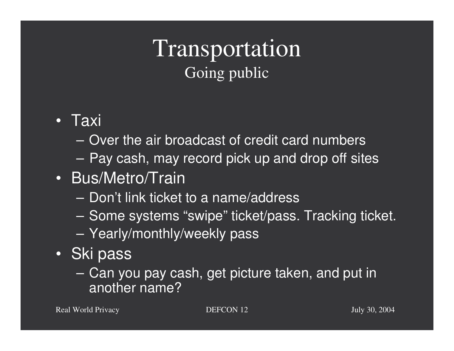#### Transportation Going public

- Taxi
	- Over the air broadcast of credit card numbers
	- Pay cash, may record pick up and drop off sites
- Bus/Metro/Train
	- Don't link ticket to a name/address
	- Some systems "swipe" ticket/pass. Tracking ticket.
	- Yearly/monthly/weekly pass
- Ski pass
	- Can you pay cash, get picture taken, and put in another name?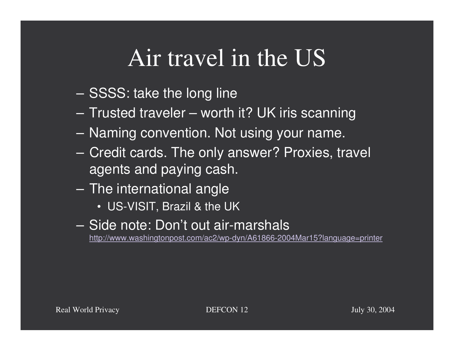# Air travel in the US

- SSSS: take the long line
- Trusted traveler worth it? UK iris scanning
- Naming convention. Not using your name.
- Credit cards. The only answer? Proxies, travel agents and paying cash.
- $-$  The international angle
	- US-VISIT, Brazil & the UK
- Side note: Don't out air-marshals http://www.washingtonpost.com/ac2/wp-dyn/A61866-2004Mar15?language=printer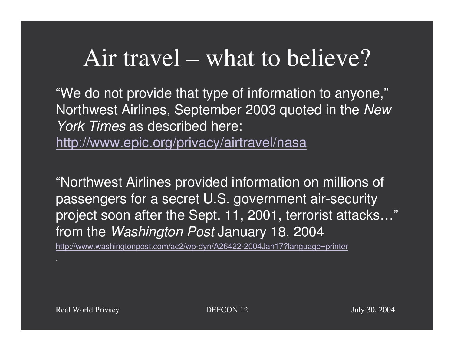## Air travel – what to believe?

"We do not provide that type of information to anyone," Northwest Airlines, September 2003 quoted in the *New York Times* as described here:

http://www.epic.org/privacy/airtravel/nasa

"Northwest Airlines provided information on millions of passengers for <sup>a</sup> secret U.S. government air-security project soon after the Sept. 11, 2001, terrorist attacks…" from the *Washington Post* January 18, 2004

http://www.washingtonpost.com/ac2/wp-dyn/A26422-2004Jan17?language=printer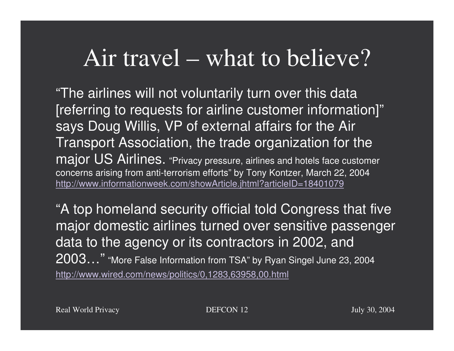### Air travel – what to believe?

"The airlines will not voluntarily turn over this data [referring to requests for airline customer information]" says Doug Willis, VP of external affairs for the Air Transport Association, the trade organization for the major US Airlines. "Privacy pressure, airlines and hotels face customer concerns arising from anti-terrorism efforts" by Tony Kontzer, March 22, 2004 http://www.informationweek.com/showArticle.jhtml?articleID=18401079

"A top homeland security official told Congress that five major domestic airlines turned over sensitive passenger data to the agency or its contractors in 2002, and  $2003...$ " "More False Information from TSA" by Ryan Singel June 23, 2004 http://www.wired.com/news/politics/0,1283,63958,00.html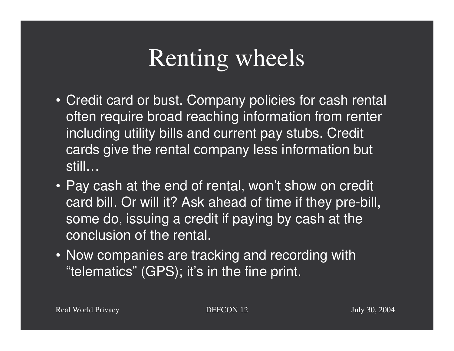# Renting wheels

- Credit card or bust. Company policies for cash rental often require broad reaching information from renter including utility bills and current pay stubs. Credit cards give the rental company less information but still…
- Pay cash at the end of rental, won't show on credit card bill. Or will it? Ask ahead of time if they pre-bill, some do, issuing <sup>a</sup> credit if paying by cash at the conclusion of the rental.
- Now companies are tracking and recording with "telematics" (GPS); it's in the fine print.

Real World

 $DEFCON 12$  July 30, 2004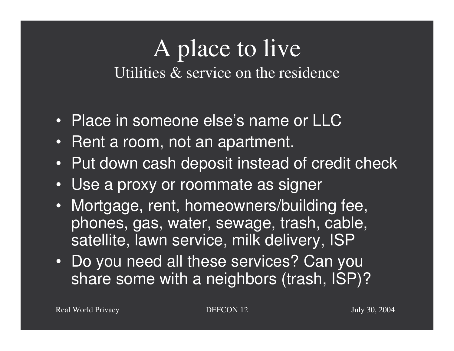#### A place to live Utilities & service on the residence

- Place in someone else's name or LLC
- Rent <sup>a</sup> room, not an apartment.
- Put down cash deposit instead of credit check
- Use <sup>a</sup> proxy or roommate as signer
- Mortgage, rent, homeowners/building fee, phones, gas, water, sewage, trash, cable, satellite, lawn service, milk delivery, ISP
- Do you need all these services? Can you share some with <sup>a</sup> neighbors (trash, ISP)?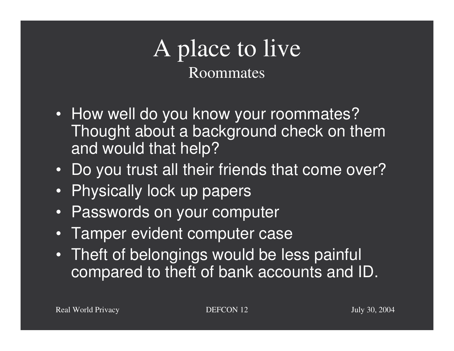### A place to live Roommates

- How well do you know your roommates? Thought about <sup>a</sup> background check on them and would that help?
- Do you trust all their friends that come over?
- Physically lock up papers
- Passwords on your computer
- •Tamper evident computer case
- Theft of belongings would be less painful compared to theft of bank accounts and ID.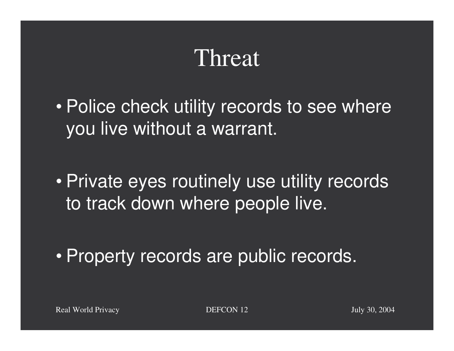## Threat

 $\bullet$  Police check utility records to see where you live without <sup>a</sup> warrant.

 $\bullet$  Private eyes routinely use utility records to track down where people live.

 $\bullet$ Property records are public records.

**DEFCON 12** July 30, 2004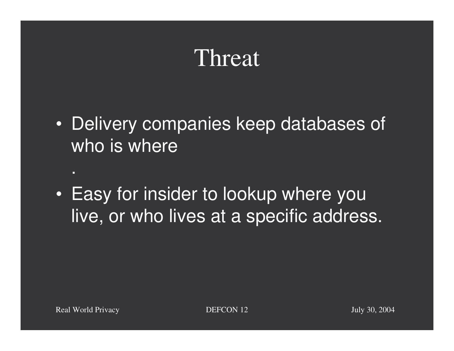## Threat

- $\bullet$ • Delivery companies keep databases of who is where
- $\bullet$ • Easy for insider to lookup where you live, or who lives at <sup>a</sup> specific address.

.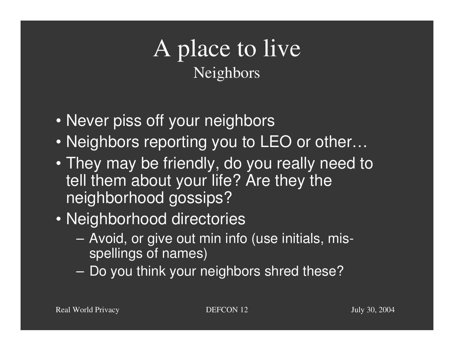### A place to live Neighbors

- Never piss off your neighbors
- Neighbors reporting you to LEO or other…
- They may be friendly, do you really need to tell them about your life? Are they the neighborhood gossips?
- Neighborhood directories
	- – Avoid, or give out min info (use initials, misspellings of names)
	- Do you think your neighbors shred these?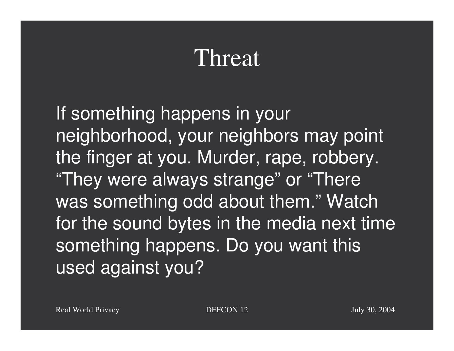## Threat

If something happens in your neighborhood, your neighbors may point the finger at you. Murder, rape, robbery. "They were always strange" or "There was something odd about them." Watch for the sound bytes in the media next time something happens. Do you want this used against you?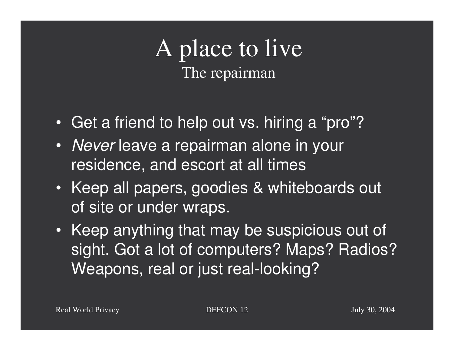#### A place to live The repairman

- Get <sup>a</sup> friend to help out vs. hiring <sup>a</sup> "pro"?
- *Never* leave <sup>a</sup> repairman alone in your residence, and escort at all times
- Keep all papers, goodies & whiteboards out of site or under wraps.
- Keep anything that may be suspicious out of sight. Got <sup>a</sup> lot of computers? Maps? Radios? Weapons, real or just real-looking?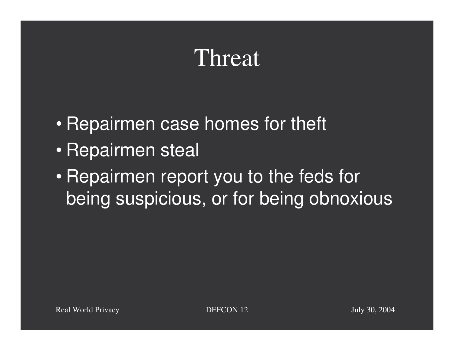## Threat

- $\bullet$ • Repairmen case homes for theft
- $\bullet$ • Repairmen steal
- $\bullet$ • Repairmen report you to the feds for being suspicious, or for being obnoxious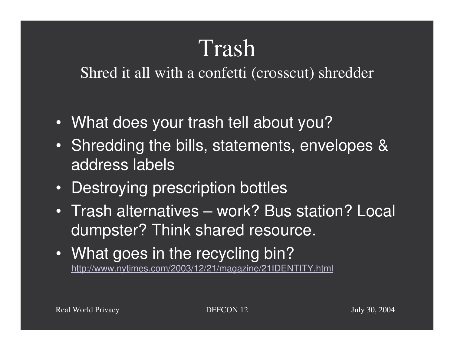# Trash

Shred it all with <sup>a</sup> confetti (crosscut) shredder

- What does your trash tell about you?
- Shredding the bills, statements, envelopes & address labels
- Destroying prescription bottles
- Trash alternatives work? Bus station? Local dumpster? Think shared resource.
- What goes in the recycling bin? http://www.nytimes.com/2003/12/21/magazine/21IDENTITY.html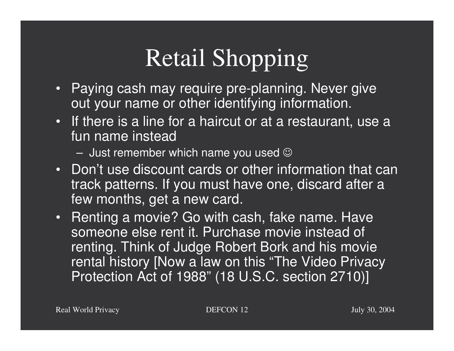# Retail Shopping

- Paying cash may require pre-planning. Never give out your name or other identifying information.
- If there is <sup>a</sup> line for <sup>a</sup> haircut or at <sup>a</sup> restaurant, use <sup>a</sup> fun name instead
	- $-$  Just remember which name you used  $\odot$
- Don't use discount cards or other information that can track patterns. If you must have one, discard after <sup>a</sup> few months, get <sup>a</sup> new card.
- Renting <sup>a</sup> movie? Go with cash, fake name. Have someone else rent it. Purchase movie instead of renting. Think of Judge Robert Bork and his movie rental history [Now <sup>a</sup> law on this "The Video Privacy Protection Act of 1988" (18 U.S.C. section 2710)]

Real World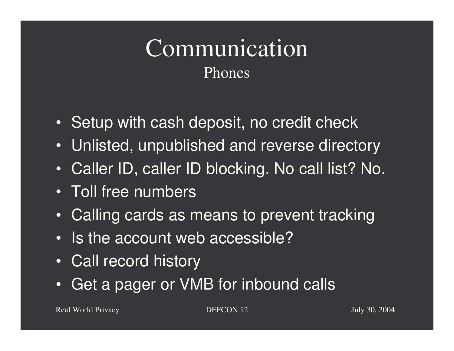### Communication Phones

- Setup with cash deposit, no credit check
- Unlisted, unpublished and reverse directory
- Caller ID, caller ID blocking. No call list? No.
- Toll free numbers
- $\bullet$ Calling cards as means to prevent tracking
- Is the account web accessible?
- Call record history
- •Get a pager or VMB for inbound calls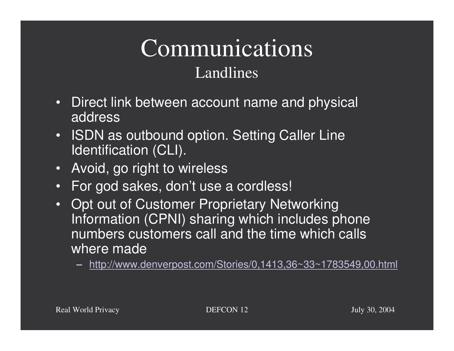### Communications Landlines

- • Direct link between account name and physical address
- $\bullet$ • ISDN as outbound option. Setting Caller Line Identification (CLI).
- $\bullet$ Avoid, go right to wireless
- For god sakes, don't use <sup>a</sup> cordless!
- Opt out of Customer Proprietary Networking Information (CPNI) sharing which includes phone numbers customers call and the time which calls where made
	- http://www.denverpost.com/Stories/0,1413,36~33~1783549,00.html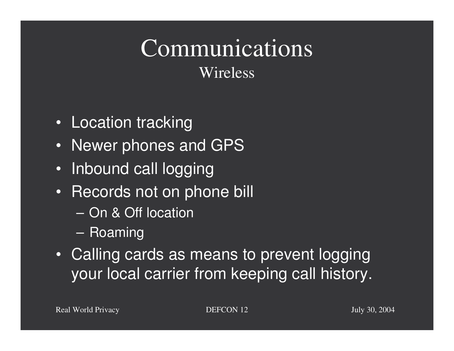#### Communications Wireless

- Location tracking
- Newer phones and GPS
- Inbound call logging
- Records not on phone bill
	- On & Off location
	- Roaming
- Calling cards as means to prevent logging your local carrier from keeping call history.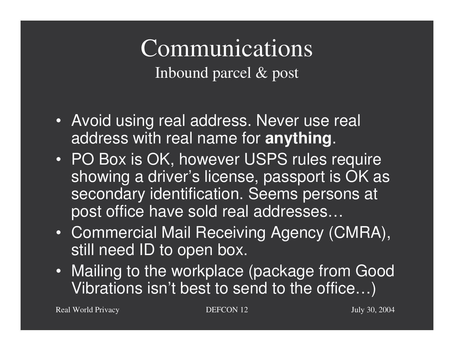#### Communications Inbound parcel & pos<sup>t</sup>

- Avoid using real address. Never use real address with real name for **anything**.
- PO Box is OK, however USPS rules require showing <sup>a</sup> driver's license, passport is OK as secondary identification. Seems persons at post office have sold real addresses…
- Commercial Mail Receiving Agency (CMRA), still need ID to open box.
- Mailing to the workplace (package from Good Vibrations isn't best to send to the office…)

Real World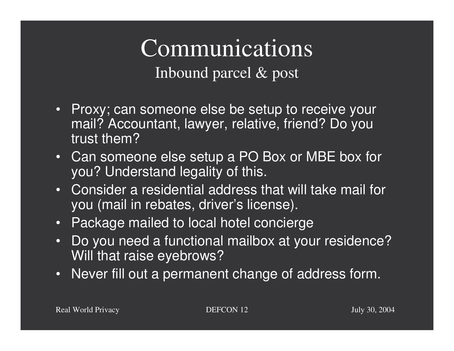# Communications

Inbound parcel & pos<sup>t</sup>

- Proxy; can someone else be setup to receive your mail? Accountant, lawyer, relative, friend? Do you trust them?
- Can someone else setup <sup>a</sup> PO Box or MBE box for you? Understand legality of this.
- Consider a residential address that will take mail for you (mail in rebates, driver's license).
- Package mailed to local hotel concierge
- • Do you need <sup>a</sup> functional mailbox at your residence? Will that raise eyebrows?
- Never fill out a permanent change of address form.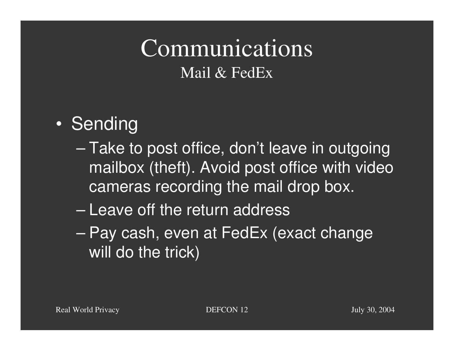## Communications Mail & FedEx

#### $\bullet$ • Sending

- Take to post office, don't leave in outgoing mailbox (theft). Avoid post office with video cameras recording the mail drop box.
- Leave off the return address
- $\mathcal{L}_{\mathcal{A}}$  , where  $\mathcal{L}_{\mathcal{A}}$  is the set of the set of the set of the set of the set of the set of the set of the set of the set of the set of the set of the set of the set of the set of the set of the set of the – Pay cash, even at FedEx (exact change will do the trick)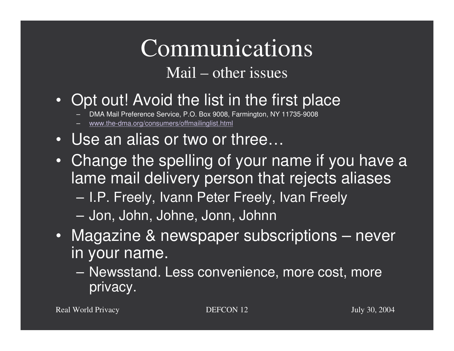#### Communications Mail – other issues

- Opt out! Avoid the list in the first place
	- DMA Mail Preference Service, P.O. Box 9008, Farmington, NY 11735-9008
	- www.the-dma.org/consumers/offmailinglist.html
- Use an alias or two or three…
- Change the spelling of your name if you have <sup>a</sup> lame mail delivery person that rejects aliases – I.P. Freely, Ivann Peter Freely, Ivan Freely
	- Jon, John, Johne, Jonn, Johnn
- Magazine & newspaper subscriptions never in your name.
	- Newsstand. Less convenience, more cost, more privacy.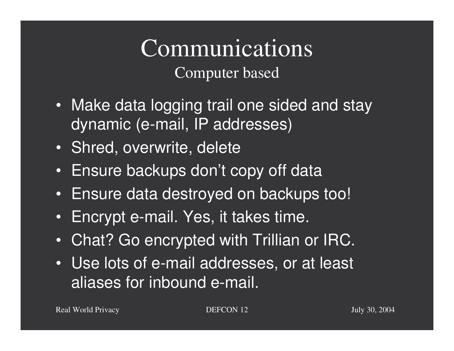#### Communications Computer based

- Make data logging trail one sided and stay dynamic (e-mail, IP addresses)
- Shred, overwrite, delete
- Ensure backups don't copy off data
- Ensure data destroyed on backups too!
- Encrypt e-mail. Yes, it takes time.
- Chat? Go encrypted with Trillian or IRC.
- Use lots of e-mail addresses, or at least aliases for inbound e-mail.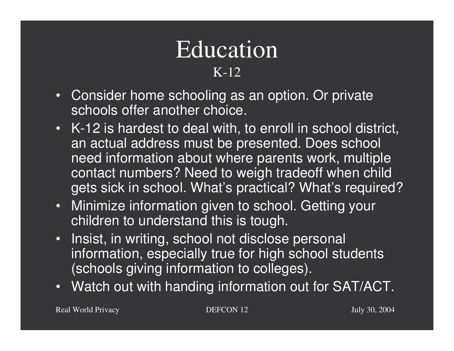#### EducationK-12

- Consider home schooling as an option. Or private schools offer another choice.
- K-12 is hardest to deal with, to enroll in school district, an actual address must be presented. Does school need information about where parents work, multiple contact numbers? Need to weigh tradeoff when child gets sick in school. What's practical? What's required?
- • Minimize information given to school. Getting your children to understand this is tough.
- • Insist, in writing, school not disclose personal information, especially true for high school students (schools giving information to colleges).
- Watch out with handing information out for SAT/ACT.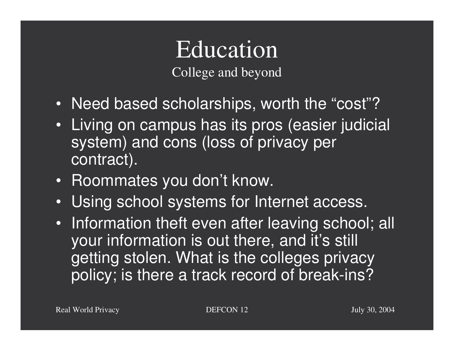#### EducationCollege and beyond

- Need based scholarships, worth the "cost"?
- Living on campus has its pros (easier judicial system) and cons (loss of privacy per contract).
- Roommates you don't know.
- Using school systems for Internet access.
- Information theft even after leaving school; all your information is out there, and it's still getting stolen. What is the colleges privacy policy; is there <sup>a</sup> track record of break-ins?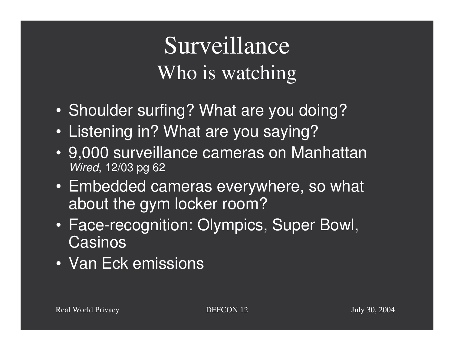# Surveillance Who is watching

- Shoulder surfing? What are you doing?
- Listening in? What are you saying?
- 9,000 surveillance cameras on Manhattan *Wired*, 12/03 pg 62
- Embedded cameras everywhere, so what about the gym locker room?
- Face-recognition: Olympics, Super Bowl, **Casinos**
- Van Eck emissions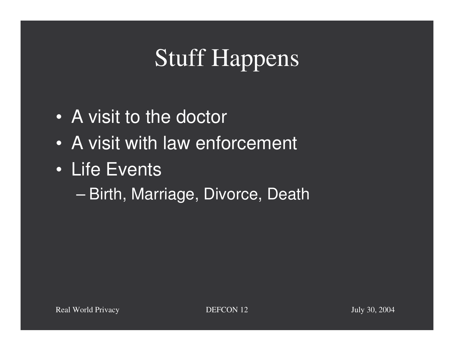# Stuff Happens

- A visit to the doctor
- A visit with law enforcement
- Life Events
	- $\mathcal{L}_{\mathcal{A}}$ – Birth, Marriage, Divorce, Death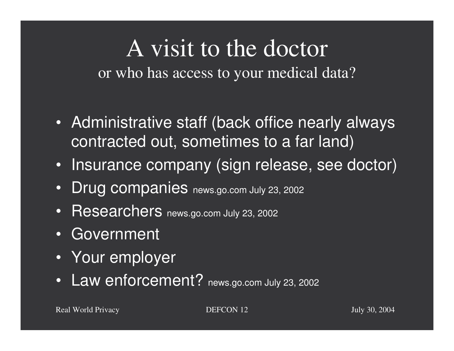#### A visit to the doctor or who has access to your medical data?

- Administrative staff (back office nearly always contracted out, sometimes to <sup>a</sup> far land)
- Insurance company (sign release, see doctor)
- $\bullet$ Drug companies news.go.com July 23, 2002
- Researchers news.go.com July 23, 2002
- Government
- Your employer
- Law enforcement? news.go.com July 23, 2002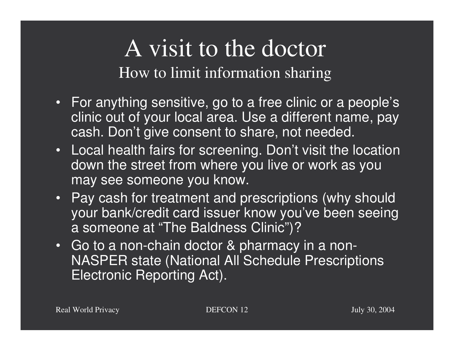A visit to the doctor How to limit information sharing

- For anything sensitive, go to <sup>a</sup> free clinic or <sup>a</sup> people's clinic out of your local area. Use <sup>a</sup> different name, pay cash. Don't give consent to share, not needed.
- Local health fairs for screening. Don't visit the location down the street from where you live or work as you may see someone you know.
- Pay cash for treatment and prescriptions (why should your bank/credit card issuer know you've been seeing a someone at "The Baldness Clinic")?
- Go to a non-chain doctor & pharmacy in <sup>a</sup> non-NASPER state (National All Schedule Prescriptions Electronic Reporting Act).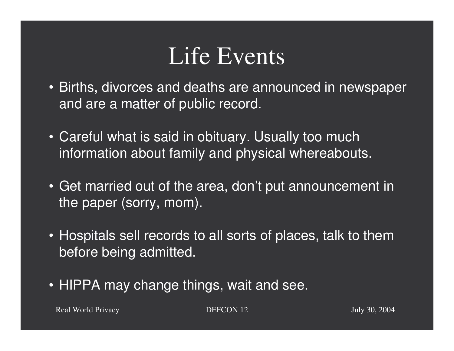# Life Events

- Births, divorces and deaths are announced in newspaper and are <sup>a</sup> matter of public record.
- Careful what is said in obituary. Usually too much information about family and physical whereabouts.
- Get married out of the area, don't put announcement in the paper (sorry, mom).
- Hospitals sell records to all sorts of places, talk to them before being admitted.
- HIPPA may change things, wait and see.

**PRIVACION 12** July 30, 2004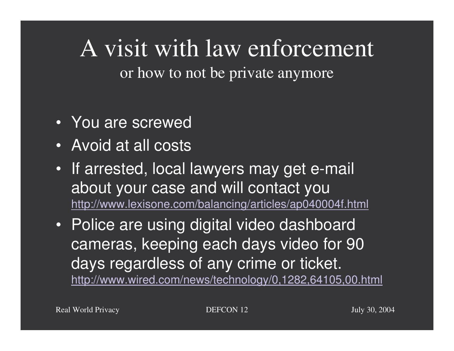## A visit with law enforcement or how to not be private anymore

- You are screwed
- Avoid at all costs
- If arrested, local lawyers may get e-mail about your case and will contact you http://www.lexisone.com/balancing/articles/ap040004f.html
- Police are using digital video dashboard cameras, keeping each days video for 90 days regardless of any crime or ticket. http://www.wired.com/news/technology/0,1282,64105,00.html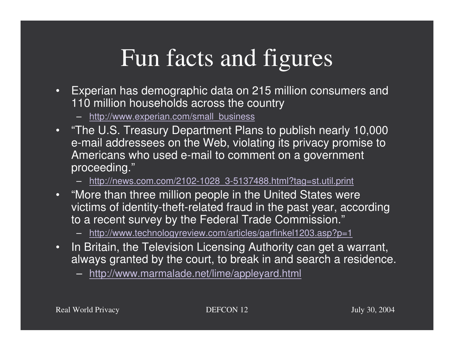# Fun facts and figures

- $\bullet$  Experian has demographic data on 215 million consumers and 110 million households across the country
	- http://www.experian.com/small\_business
- "The U.S. Treasury Department Plans to publish nearly 10,000 e-mail addressees on the Web, violating its privacy promise to Americans who used e-mail to comment on <sup>a</sup> government proceeding."
	- http://news.com.com/2102-1028\_3-5137488.html?tag=st.util.print
- "More than three million people in the United States were victims of identity-theft-related fraud in the past year, according to <sup>a</sup> recent survey by the Federal Trade Commission."
	- http://www.technologyreview.com/articles/garfinkel1203.asp?p=1
- InIn Britain, the Television Licensing Authority can get a warrant, always granted by the court, to break in and search <sup>a</sup> residence.
	- http://www.marmalade.net/lime/appleyard.html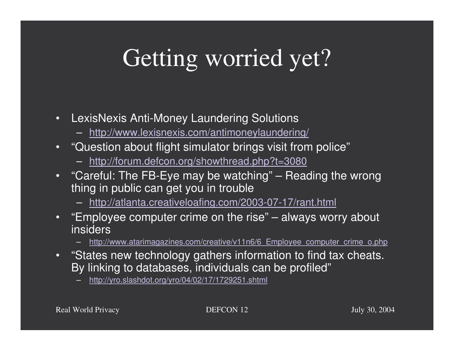# Getting worried yet?

- $\bullet$  LexisNexis Anti-Money Laundering Solutions
	- http://www.lexisnexis.com/antimoneylaundering/
- $\bullet$ "Question about flight simulator brings visit from police"
	- http://forum.defcon.org/showthread.php?t=3080
- "Careful: The FB-Eye may be watching" Reading the wrong thing in public can get you in trouble
	- http://atlanta.creativeloafing.com/2003-07-17/rant.html
- •"Employee computer crime on the rise" – always worry about insiders
	- http://www.atarimagazines.com/creative/v11n6/6 Employee computer crime o.php
- "States new technology gathers information to find tax cheats. By linking to databases, individuals can be profiled"

http://yro.slashdot.org/yro/04/02/17/1729251.shtml

Real World

 $DEFCON 12$  July 30, 2004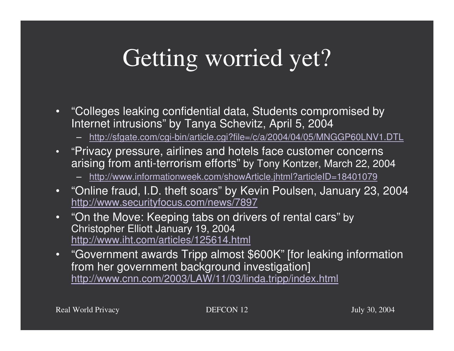# Getting worried yet?

- •"Colleges leaking confidential data, Students compromised by Internet intrusions" by Tanya Schevitz, April 5, 2004
	- http://sfgate.com/cgi-bin/article.cgi?file=/c/a/2004/04/05/MNGGP60LNV1.DTL
- •"Privacy pressure, airlines and hotels face customer concerns arising from anti-terrorism efforts" by Tony Kontzer, March 22, <sup>2004</sup>
	- http://www.informationweek.com/showArticle.jhtml?articleID=18401079
- "Online fraud, I.D. theft soars" by Kevin Poulsen, January 23, 2004 http://www.securityfocus.com/news/7897
- •"On the Move: Keeping tabs on drivers of rental cars" by Christopher Elliott January 19, 2004 http://www.iht.com/articles/125614.html
- •"Government awards Tripp almost \$600K" [for leaking information from her government background investigation] http://www.cnn.com/2003/LAW/11/03/linda.tripp/index.html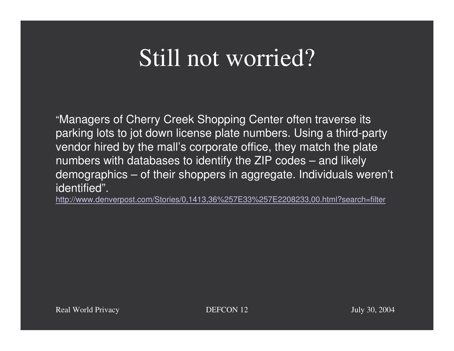## Still not worried?

"Managers of Cherry Creek Shopping Center often traverse its parking lots to jot down license plate numbers. Using <sup>a</sup> third-party vendor hired by the mall's corporate office, they match the plate numbers with databases to identify the ZIP codes – and likely demographics – of their shoppers in aggregate. Individuals weren't identified".

http://www.denverpost.com/Stories/0,1413,36%257E33%257E2208233,00.html?search=filter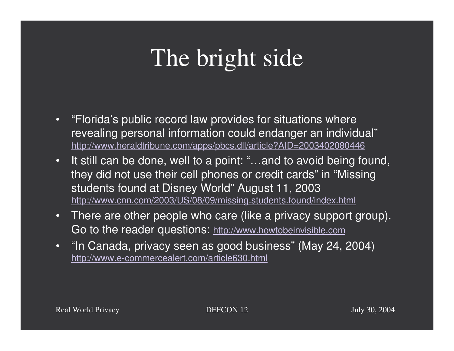# The bright side

- "Florida's public record law provides for situations where revealing personal information could endanger an individual" http://www.heraldtribune.com/apps/pbcs.dll/article?AID=2003402080446
- •• It still can be done, well to a point: "...and to avoid being found, they did not use their cell phones or credit cards" in "Missing students found at Disney World" August 11, 2003 http://www.cnn.com/2003/US/08/09/missing.students.found/index.html
- • There are other people who care (like <sup>a</sup> privacy support group). Go to the reader questions: http://www.howtobeinvisible.com
- "In Canada, privacy seen as good business" (May 24, 2004) http://www.e-commercealert.com/article630.html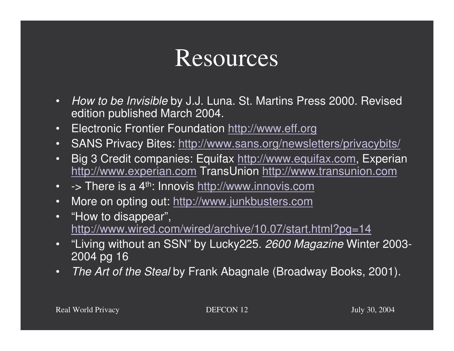## **Resources**

- • *How to be Invisible* by J.J. Luna. St. Martins Press 2000. Revised edition published March 2004.
- •• Electronic Frontier Foundation http://www.eff.org
- SANS Privacy Bites: http://www.sans.org/newsletters/privacybits/
- • Big 3 Credit companies: Equifax http://www.equifax.com, Experian http://www.experian.com TransUnion http://www.transunion.com
- -> There is a 4<sup>th</sup>: Innovis <u>http://www.innovis.com</u>
- •• More on opting out: <u>http://www.junkbusters.com</u>
- $\bullet$ "How to disappear", http://www.wired.com/wired/archive/10.07/start.html?pg=14
- "Living without an SSN" by Lucky225. *2600 Magazine* Winter 2003- 2004 pg 16
- •*The Art of the Steal* by Frank Abagnale (Broadway Books, 2001).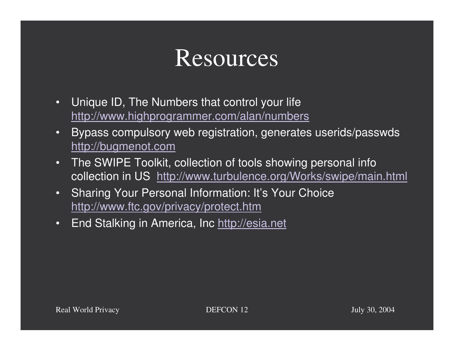## **Resources**

- • Unique ID, The Numbers that control your life http://www.highprogrammer.com/alan/numbers
- • Bypass compulsory web registration, generates userids/passwds http://bugmenot.com
- • The SWIPE Toolkit, collection of tools showing personal info collection in US http://www.turbulence.org/Works/swipe/main.html
- • Sharing Your Personal Information: It's Your Choice http://www.ftc.gov/privacy/protect.htm
- •• End Stalking in America, Inc http://esia.net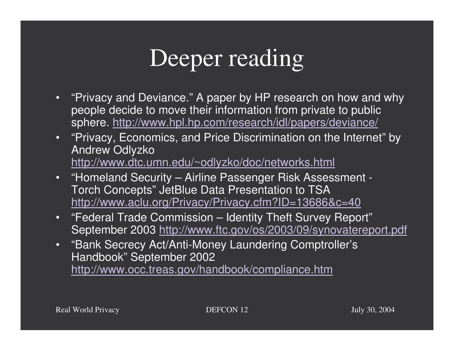# Deeper reading

- "Privacy and Deviance." A paper by HP research on how and why people decide to move their information from private to public sphere. http://www.hpl.hp.com/research/idl/papers/deviance/
- •"Privacy, Economics, and Price Discrimination on the Internet" by Andrew Odlyzko http://www.dtc.umn.edu/~odlyzko/doc/networks.html
- •"Homeland Security – Airline Passenger Risk Assessment - Torch Concepts" JetBlue Data Presentation to TSA http://www.aclu.org/Privacy/Privacy.cfm?ID=13686&c=40
- •"Federal Trade Commission – Identity Theft Survey Report" September 2003 http://www.ftc.gov/os/2003/09/synovatereport.pdf
- "Bank Secrecy Act/Anti-Money Laundering Comptroller's Handbook" September 2002 http://www.occ.treas.gov/handbook/compliance.htm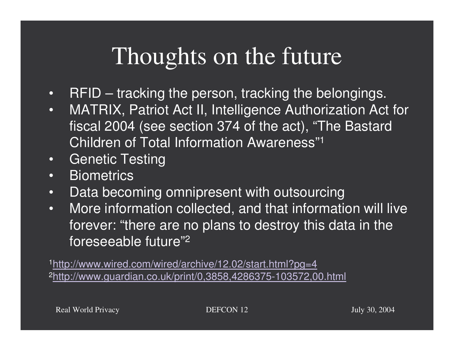# Thoughts on the future

- •• RFID – tracking the person, tracking the belongings.
- • MATRIX, Patriot Act II, Intelligence Authorization Act for fiscal 2004 (see section 374 of the act), "The Bastard Children of Total Information Awareness"1
- •Genetic Testing
- •**Biometrics**
- •• Data becoming omnipresent with outsourcing
- • More information collected, and that information will live forever: "there are no plans to destroy this data in the foreseeable future"2

1http://www.wired.com/wired/archive/12.02/start.html?pg=4 2http://www.guardian.co.uk/print/0,3858,4286375-103572,00.html